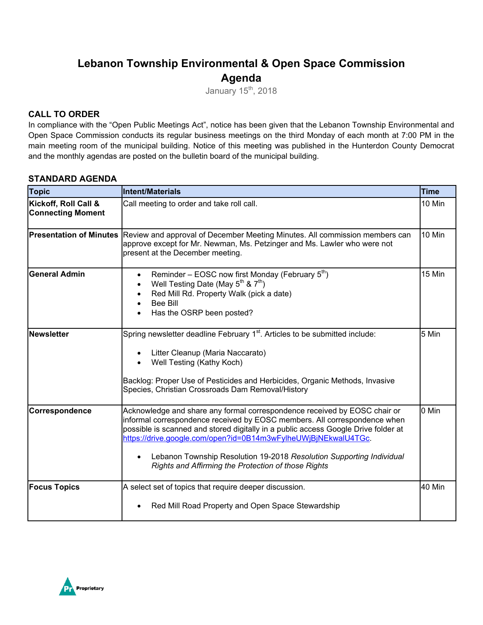# **Lebanon Township Environmental & Open Space Commission Agenda**

January 15<sup>th</sup>, 2018

### **CALL TO ORDER**

In compliance with the "Open Public Meetings Act", notice has been given that the Lebanon Township Environmental and Open Space Commission conducts its regular business meetings on the third Monday of each month at 7:00 PM in the main meeting room of the municipal building. Notice of this meeting was published in the Hunterdon County Democrat and the monthly agendas are posted on the bulletin board of the municipal building.

#### **STANDARD AGENDA**

| <b>Topic</b>                                     | <b>Intent/Materials</b>                                                                                                                                                                                                                                                                                                                                                                                                                       | <b>Time</b> |
|--------------------------------------------------|-----------------------------------------------------------------------------------------------------------------------------------------------------------------------------------------------------------------------------------------------------------------------------------------------------------------------------------------------------------------------------------------------------------------------------------------------|-------------|
| Kickoff, Roll Call &<br><b>Connecting Moment</b> | Call meeting to order and take roll call.                                                                                                                                                                                                                                                                                                                                                                                                     | 10 Min      |
| <b>Presentation of Minutes</b>                   | Review and approval of December Meeting Minutes. All commission members can<br>approve except for Mr. Newman, Ms. Petzinger and Ms. Lawler who were not<br>present at the December meeting.                                                                                                                                                                                                                                                   | 10 Min      |
| <b>General Admin</b>                             | Reminder – EOSC now first Monday (February $5th$ )<br>$\bullet$<br>Well Testing Date (May $5^{th}$ & $7^{th}$ )<br>Red Mill Rd. Property Walk (pick a date)<br><b>Bee Bill</b><br>Has the OSRP been posted?                                                                                                                                                                                                                                   | 15 Min      |
| Newsletter                                       | Spring newsletter deadline February 1 <sup>st</sup> . Articles to be submitted include:<br>Litter Cleanup (Maria Naccarato)<br>Well Testing (Kathy Koch)<br>Backlog: Proper Use of Pesticides and Herbicides, Organic Methods, Invasive<br>Species, Christian Crossroads Dam Removal/History                                                                                                                                                  | 5 Min       |
| Correspondence                                   | Acknowledge and share any formal correspondence received by EOSC chair or<br>informal correspondence received by EOSC members. All correspondence when<br>possible is scanned and stored digitally in a public access Google Drive folder at<br>https://drive.google.com/open?id=0B14m3wFylheUWjBjNEkwalU4TGc.<br>Lebanon Township Resolution 19-2018 Resolution Supporting Individual<br>Rights and Affirming the Protection of those Rights | 0 Min       |
| <b>Focus Topics</b>                              | A select set of topics that require deeper discussion.<br>Red Mill Road Property and Open Space Stewardship                                                                                                                                                                                                                                                                                                                                   | 40 Min      |

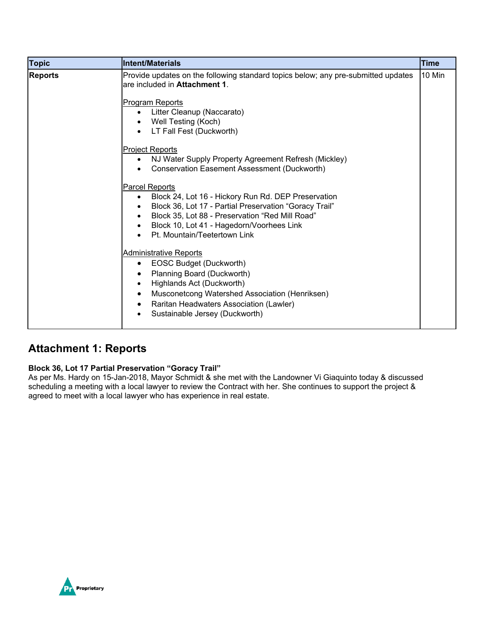| <b>Topic</b>   | <b>Intent/Materials</b>                                                                                                                                                                                                                                                                                                                                                                                                                                                                      | <b>Time</b> |
|----------------|----------------------------------------------------------------------------------------------------------------------------------------------------------------------------------------------------------------------------------------------------------------------------------------------------------------------------------------------------------------------------------------------------------------------------------------------------------------------------------------------|-------------|
| <b>Reports</b> | Provide updates on the following standard topics below; any pre-submitted updates<br>are included in Attachment 1.<br>Program Reports<br>Litter Cleanup (Naccarato)<br>Well Testing (Koch)<br>LT Fall Fest (Duckworth)<br>$\bullet$<br><b>Project Reports</b><br>NJ Water Supply Property Agreement Refresh (Mickley)<br>$\bullet$<br>Conservation Easement Assessment (Duckworth)<br>$\bullet$<br><b>Parcel Reports</b><br>Block 24, Lot 16 - Hickory Run Rd. DEP Preservation<br>$\bullet$ | 10 Min      |
|                | Block 36, Lot 17 - Partial Preservation "Goracy Trail"<br>Block 35, Lot 88 - Preservation "Red Mill Road"<br>Block 10, Lot 41 - Hagedorn/Voorhees Link<br>Pt. Mountain/Teetertown Link<br><b>Administrative Reports</b><br>EOSC Budget (Duckworth)<br>٠<br>Planning Board (Duckworth)<br>Highlands Act (Duckworth)<br>$\bullet$<br>Musconetcong Watershed Association (Henriksen)<br>$\bullet$<br>Raritan Headwaters Association (Lawler)<br>Sustainable Jersey (Duckworth)                  |             |

## **Attachment 1: Reports**

#### **Block 36, Lot 17 Partial Preservation "Goracy Trail"**

As per Ms. Hardy on 15-Jan-2018, Mayor Schmidt & she met with the Landowner Vi Giaquinto today & discussed scheduling a meeting with a local lawyer to review the Contract with her. She continues to support the project & agreed to meet with a local lawyer who has experience in real estate.

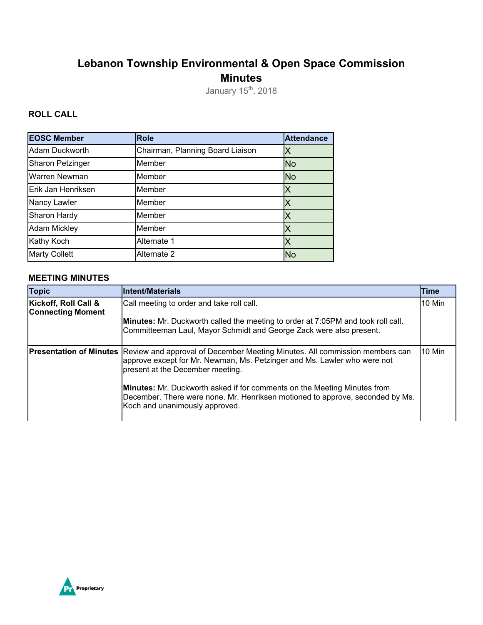# **Lebanon Township Environmental & Open Space Commission Minutes**

January 15<sup>th</sup>, 2018

### **ROLL CALL**

| <b>EOSC Member</b>      | <b>Role</b>                      | <b>Attendance</b>       |
|-------------------------|----------------------------------|-------------------------|
| Adam Duckworth          | Chairman, Planning Board Liaison | Х                       |
| <b>Sharon Petzinger</b> | Member                           | <b>No</b>               |
| Warren Newman           | Member                           | <b>No</b>               |
| Erik Jan Henriksen      | Member                           | $\overline{\mathsf{X}}$ |
| Nancy Lawler            | Member                           | Х                       |
| Sharon Hardy            | Member                           | X                       |
| <b>Adam Mickley</b>     | Member                           | Х                       |
| Kathy Koch              | Alternate 1                      | Х                       |
| <b>Marty Collett</b>    | Alternate 2                      | No                      |

#### **MEETING MINUTES**

| <b>Topic</b>                                     | <b>Intent/Materials</b>                                                                                                                                                                                                    | Time   |
|--------------------------------------------------|----------------------------------------------------------------------------------------------------------------------------------------------------------------------------------------------------------------------------|--------|
| Kickoff, Roll Call &<br><b>Connecting Moment</b> | Call meeting to order and take roll call.                                                                                                                                                                                  | 10 Min |
|                                                  | Minutes: Mr. Duckworth called the meeting to order at 7:05PM and took roll call.<br>Committeeman Laul, Mayor Schmidt and George Zack were also present.                                                                    |        |
|                                                  | <b>Presentation of Minutes</b> Review and approval of December Meeting Minutes. All commission members can<br>approve except for Mr. Newman, Ms. Petzinger and Ms. Lawler who were not<br>present at the December meeting. | 10 Min |
|                                                  | <b>Minutes:</b> Mr. Duckworth asked if for comments on the Meeting Minutes from<br>December. There were none. Mr. Henriksen motioned to approve, seconded by Ms.<br>Koch and unanimously approved.                         |        |

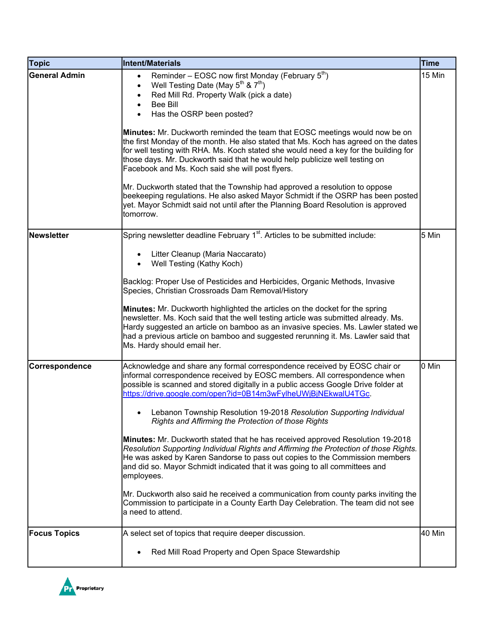| <b>Topic</b>         | Intent/Materials                                                                                                                                                                                                                                                                                                                                                                                                                                                                                                                                                                                                                                                                                                                                                                                                                                                                             | <b>Time</b> |
|----------------------|----------------------------------------------------------------------------------------------------------------------------------------------------------------------------------------------------------------------------------------------------------------------------------------------------------------------------------------------------------------------------------------------------------------------------------------------------------------------------------------------------------------------------------------------------------------------------------------------------------------------------------------------------------------------------------------------------------------------------------------------------------------------------------------------------------------------------------------------------------------------------------------------|-------------|
| <b>General Admin</b> | Reminder – EOSC now first Monday (February $5th$ )<br>$\bullet$<br>Well Testing Date (May $5^{th}$ & $7^{th}$ )<br>$\bullet$<br>Red Mill Rd. Property Walk (pick a date)<br><b>Bee Bill</b><br>Has the OSRP been posted?<br>Minutes: Mr. Duckworth reminded the team that EOSC meetings would now be on<br>the first Monday of the month. He also stated that Ms. Koch has agreed on the dates<br>for well testing with RHA. Ms. Koch stated she would need a key for the building for<br>those days. Mr. Duckworth said that he would help publicize well testing on<br>Facebook and Ms. Koch said she will post flyers.<br>Mr. Duckworth stated that the Township had approved a resolution to oppose<br>beekeeping regulations. He also asked Mayor Schmidt if the OSRP has been posted<br>yet. Mayor Schmidt said not until after the Planning Board Resolution is approved<br>tomorrow. | 15 Min      |
| <b>Newsletter</b>    | Spring newsletter deadline February 1 <sup>st</sup> . Articles to be submitted include:                                                                                                                                                                                                                                                                                                                                                                                                                                                                                                                                                                                                                                                                                                                                                                                                      | 5 Min       |
|                      | Litter Cleanup (Maria Naccarato)<br>Well Testing (Kathy Koch)<br>Backlog: Proper Use of Pesticides and Herbicides, Organic Methods, Invasive<br>Species, Christian Crossroads Dam Removal/History<br>Minutes: Mr. Duckworth highlighted the articles on the docket for the spring<br>newsletter. Ms. Koch said that the well testing article was submitted already. Ms.<br>Hardy suggested an article on bamboo as an invasive species. Ms. Lawler stated we                                                                                                                                                                                                                                                                                                                                                                                                                                 |             |
|                      | had a previous article on bamboo and suggested rerunning it. Ms. Lawler said that<br>Ms. Hardy should email her.                                                                                                                                                                                                                                                                                                                                                                                                                                                                                                                                                                                                                                                                                                                                                                             |             |
| Correspondence       | Acknowledge and share any formal correspondence received by EOSC chair or<br>informal correspondence received by EOSC members. All correspondence when<br>possible is scanned and stored digitally in a public access Google Drive folder at<br>https://drive.google.com/open?id=0B14m3wFylheUWjBjNEkwalU4TGc.<br>Lebanon Township Resolution 19-2018 Resolution Supporting Individual<br>Rights and Affirming the Protection of those Rights                                                                                                                                                                                                                                                                                                                                                                                                                                                | 0 Min       |
|                      | Minutes: Mr. Duckworth stated that he has received approved Resolution 19-2018<br>Resolution Supporting Individual Rights and Affirming the Protection of those Rights.<br>He was asked by Karen Sandorse to pass out copies to the Commission members<br>and did so. Mayor Schmidt indicated that it was going to all committees and<br>employees.                                                                                                                                                                                                                                                                                                                                                                                                                                                                                                                                          |             |
|                      | Mr. Duckworth also said he received a communication from county parks inviting the<br>Commission to participate in a County Earth Day Celebration. The team did not see<br>a need to attend.                                                                                                                                                                                                                                                                                                                                                                                                                                                                                                                                                                                                                                                                                                 |             |
| <b>Focus Topics</b>  | A select set of topics that require deeper discussion.                                                                                                                                                                                                                                                                                                                                                                                                                                                                                                                                                                                                                                                                                                                                                                                                                                       | 40 Min      |
|                      | Red Mill Road Property and Open Space Stewardship                                                                                                                                                                                                                                                                                                                                                                                                                                                                                                                                                                                                                                                                                                                                                                                                                                            |             |

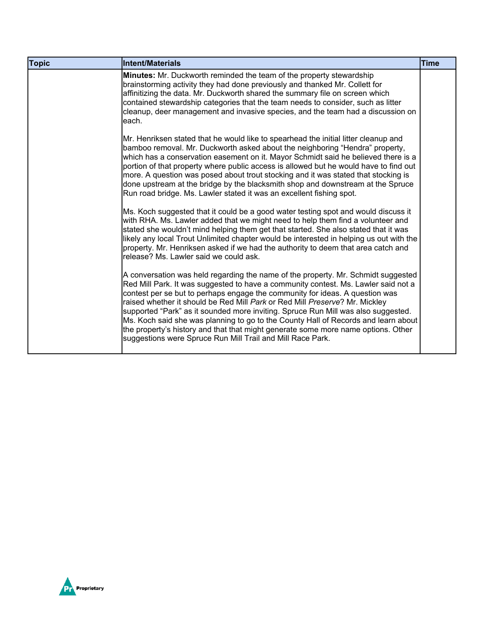| <b>Topic</b> | Intent/Materials                                                                                                                                                                                                                                                                                                                                                                                                                                                                                                                                                                                                                                                     | <b>Time</b> |
|--------------|----------------------------------------------------------------------------------------------------------------------------------------------------------------------------------------------------------------------------------------------------------------------------------------------------------------------------------------------------------------------------------------------------------------------------------------------------------------------------------------------------------------------------------------------------------------------------------------------------------------------------------------------------------------------|-------------|
|              | Minutes: Mr. Duckworth reminded the team of the property stewardship<br>brainstorming activity they had done previously and thanked Mr. Collett for<br>affinitizing the data. Mr. Duckworth shared the summary file on screen which<br>contained stewardship categories that the team needs to consider, such as litter<br>cleanup, deer management and invasive species, and the team had a discussion on<br>each.                                                                                                                                                                                                                                                  |             |
|              | Mr. Henriksen stated that he would like to spearhead the initial litter cleanup and<br>bamboo removal. Mr. Duckworth asked about the neighboring "Hendra" property,<br>which has a conservation easement on it. Mayor Schmidt said he believed there is a<br>portion of that property where public access is allowed but he would have to find out<br>more. A question was posed about trout stocking and it was stated that stocking is<br>done upstream at the bridge by the blacksmith shop and downstream at the Spruce<br>Run road bridge. Ms. Lawler stated it was an excellent fishing spot.                                                                  |             |
|              | Ms. Koch suggested that it could be a good water testing spot and would discuss it<br>with RHA. Ms. Lawler added that we might need to help them find a volunteer and<br>stated she wouldn't mind helping them get that started. She also stated that it was<br>likely any local Trout Unlimited chapter would be interested in helping us out with the<br>property. Mr. Henriksen asked if we had the authority to deem that area catch and<br>release? Ms. Lawler said we could ask.                                                                                                                                                                               |             |
|              | A conversation was held regarding the name of the property. Mr. Schmidt suggested<br>Red Mill Park. It was suggested to have a community contest. Ms. Lawler said not a<br>contest per se but to perhaps engage the community for ideas. A question was<br>raised whether it should be Red Mill Park or Red Mill Preserve? Mr. Mickley<br>supported "Park" as it sounded more inviting. Spruce Run Mill was also suggested.<br>Ms. Koch said she was planning to go to the County Hall of Records and learn about<br>the property's history and that that might generate some more name options. Other<br>suggestions were Spruce Run Mill Trail and Mill Race Park. |             |